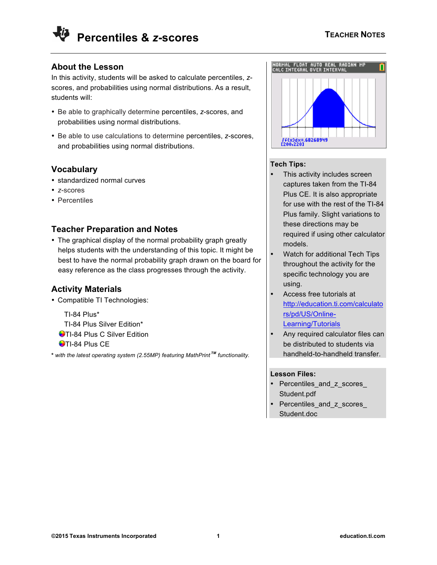

## **About the Lesson**

In this activity, students will be asked to calculate percentiles, *z*scores, and probabilities using normal distributions. As a result, students will:

- Be able to graphically determine percentiles, *z*-scores, and probabilities using normal distributions.
- Be able to use calculations to determine percentiles, *z*-scores, and probabilities using normal distributions.

## **Vocabulary**

- standardized normal curves
- *z*-scores
- Percentiles

## **Teacher Preparation and Notes**

• The graphical display of the normal probability graph greatly helps students with the understanding of this topic. It might be best to have the normal probability graph drawn on the board for easy reference as the class progresses through the activity.

## **Activity Materials**

• Compatible TI Technologies:

TI-84 Plus\* TI-84 Plus Silver Edition\*

- **OTI-84 Plus C Silver Edition**
- **OTI-84 Plus CE**

**\*** *with the latest operating system (2.55MP) featuring MathPrint TM functionality.*

<mark>Normal float auto real radian MP</mark><br>Calc integral over interval FF(x)dx=.68268949<br>[200,220]

#### **Tech Tips:**

- This activity includes screen captures taken from the TI-84 Plus CE. It is also appropriate for use with the rest of the TI-84 Plus family. Slight variations to these directions may be required if using other calculator models.
- Watch for additional Tech Tips throughout the activity for the specific technology you are using.
- Access free tutorials at http://education.ti.com/calculato rs/pd/US/Online-Learning/Tutorials
- Any required calculator files can be distributed to students via handheld-to-handheld transfer.

## **Lesson Files:**

- Percentiles\_and\_z\_scores\_ Student.pdf
- Percentiles\_and\_z\_scores\_ Student.doc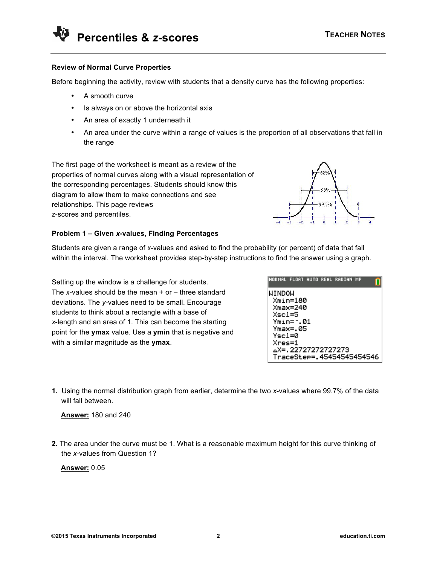#### **Review of Normal Curve Properties**

Before beginning the activity, review with students that a density curve has the following properties:

- A smooth curve
- Is always on or above the horizontal axis
- An area of exactly 1 underneath it
- An area under the curve within a range of values is the proportion of all observations that fall in the range

The first page of the worksheet is meant as a review of the properties of normal curves along with a visual representation of the corresponding percentages. Students should know this diagram to allow them to make connections and see relationships. This page reviews *z*-scores and percentiles.



## **Problem 1 – Given** *x***-values, Finding Percentages**

Students are given a range of *x*-values and asked to find the probability (or percent) of data that fall within the interval. The worksheet provides step-by-step instructions to find the answer using a graph.

Setting up the window is a challenge for students. The *x*-values should be the mean + or – three standard deviations. The *y*-values need to be small. Encourage students to think about a rectangle with a base of *x*-length and an area of 1. This can become the starting point for the **ymax** value. Use a **ymin** that is negative and with a similar magnitude as the **ymax**.

|                       |                       |  |  | NORMAL FLOAT AUTO REAL RADIAN MP |                           |  |
|-----------------------|-----------------------|--|--|----------------------------------|---------------------------|--|
| WINDOW                |                       |  |  |                                  |                           |  |
| Xmin=180              |                       |  |  |                                  |                           |  |
|                       | Xmax=240              |  |  |                                  |                           |  |
| $X_{\texttt{SC}}$ 1=5 |                       |  |  |                                  |                           |  |
|                       | Ymin=-.01<br>Ymax=.05 |  |  |                                  |                           |  |
| Yscl=0                |                       |  |  |                                  |                           |  |
| $Xres=1$              |                       |  |  |                                  |                           |  |
|                       | △X=.22727272727273    |  |  |                                  |                           |  |
|                       |                       |  |  |                                  | TraceStep=.45454545454546 |  |

**1.** Using the normal distribution graph from earlier, determine the two *x*-values where 99.7% of the data will fall between.

**Answer:** 180 and 240

**2.** The area under the curve must be 1. What is a reasonable maximum height for this curve thinking of the *x*-values from Question 1?

**Answer:** 0.05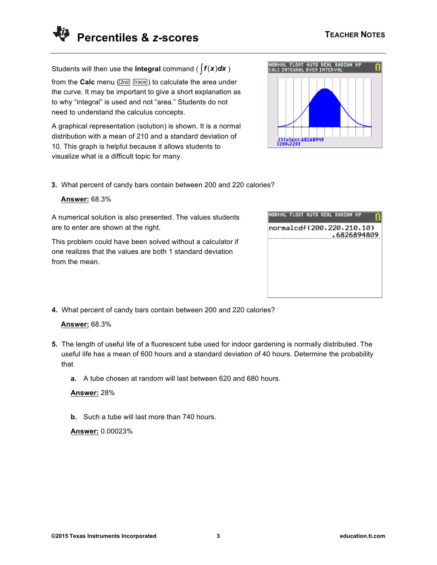**©2015 Texas Instruments Incorporated 3 education.ti.com**

# **Percentiles & z-scores TEACHER NOTES**

Students will then use the **Integral** command ( $\int f(x)dx$ )

from the **Calc** menu (2nd trace) to calculate the area under the curve. It may be important to give a short explanation as to why "integral" is used and not "area." Students do not need to understand the calculus concepts.

A graphical representation (solution) is shown. It is a normal distribution with a mean of 210 and a standard deviation of 10. This graph is helpful because it allows students to visualize what is a difficult topic for many.

# **3.** What percent of candy bars contain between 200 and 220 calories?

## **Answer:** 68.3%

A numerical solution is also presented. The values students are to enter are shown at the right.

This problem could have been solved without a calculator if one realizes that the values are both 1 standard deviation from the mean.

**4.** What percent of candy bars contain between 200 and 220 calories?

# **Answer:** 68.3%

- **5.** The length of useful life of a fluorescent tube used for indoor gardening is normally distributed. The useful life has a mean of 600 hours and a standard deviation of 40 hours. Determine the probability that
	- **a.** A tube chosen at random will last between 620 and 680 hours.

## **Answer:** 28%

**b.** Such a tube will last more than 740 hours.

# **Answer:** 0.00023%



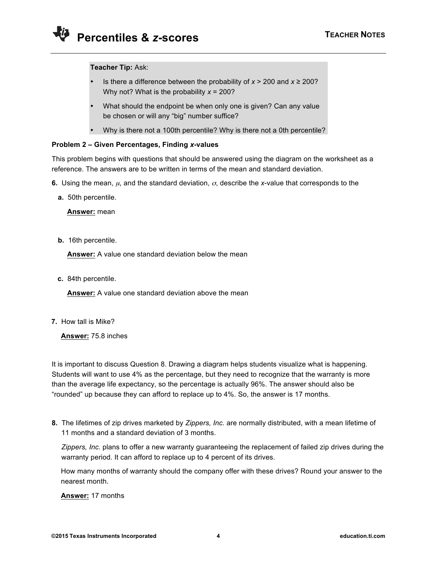#### **Teacher Tip:** Ask:

- Is there a difference between the probability of  $x > 200$  and  $x \ge 200$ ? Why not? What is the probability *x* = 200?
- What should the endpoint be when only one is given? Can any value be chosen or will any "big" number suffice?
- Why is there not a 100th percentile? Why is there not a 0th percentile?

#### **Problem 2 – Given Percentages, Finding** *x***-values**

This problem begins with questions that should be answered using the diagram on the worksheet as a reference. The answers are to be written in terms of the mean and standard deviation.

- **6.** Using the mean,  $\mu$ , and the standard deviation,  $\sigma$ , describe the *x*-value that corresponds to the
	- **a.** 50th percentile.

**Answer:** mean

**b.** 16th percentile.

**Answer:** A value one standard deviation below the mean

**c.** 84th percentile.

**Answer:** A value one standard deviation above the mean

**7.** How tall is Mike?

**Answer:** 75.8 inches

It is important to discuss Question 8. Drawing a diagram helps students visualize what is happening. Students will want to use 4% as the percentage, but they need to recognize that the warranty is more than the average life expectancy, so the percentage is actually 96%. The answer should also be "rounded" up because they can afford to replace up to 4%. So, the answer is 17 months.

**8.** The lifetimes of zip drives marketed by *Zippers, Inc.* are normally distributed, with a mean lifetime of 11 months and a standard deviation of 3 months.

*Zippers, Inc.* plans to offer a new warranty guaranteeing the replacement of failed zip drives during the warranty period. It can afford to replace up to 4 percent of its drives.

How many months of warranty should the company offer with these drives? Round your answer to the nearest month.

**Answer:** 17 months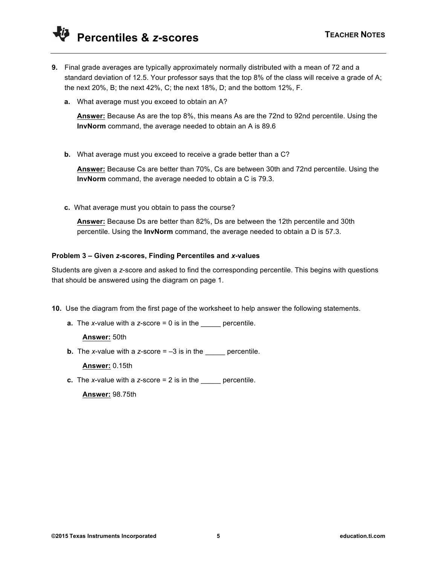- **9.** Final grade averages are typically approximately normally distributed with a mean of 72 and a standard deviation of 12.5. Your professor says that the top 8% of the class will receive a grade of A; the next 20%, B; the next 42%, C; the next 18%, D; and the bottom 12%, F.
	- **a.** What average must you exceed to obtain an A?

**Answer:** Because As are the top 8%, this means As are the 72nd to 92nd percentile. Using the **InvNorm** command, the average needed to obtain an A is 89.6

**b.** What average must you exceed to receive a grade better than a C?

**Answer:** Because Cs are better than 70%, Cs are between 30th and 72nd percentile. Using the **InvNorm** command, the average needed to obtain a C is 79.3.

**c.** What average must you obtain to pass the course?

**Answer:** Because Ds are better than 82%, Ds are between the 12th percentile and 30th percentile. Using the **InvNorm** command, the average needed to obtain a D is 57.3.

## **Problem 3 – Given** *z***-scores, Finding Percentiles and** *x***-values**

Students are given a *z*-score and asked to find the corresponding percentile. This begins with questions that should be answered using the diagram on page 1.

- **10.** Use the diagram from the first page of the worksheet to help answer the following statements.
	- **a.** The *x*-value with a *z*-score  $= 0$  is in the  $= 0$  percentile.

#### **Answer:** 50th

**b.** The *x*-value with a *z*-score  $= -3$  is in the  $=$  percentile.

**Answer:** 0.15th

**c.** The *x*-value with a *z*-score = 2 is in the \_\_\_\_\_ percentile.

**Answer:** 98.75th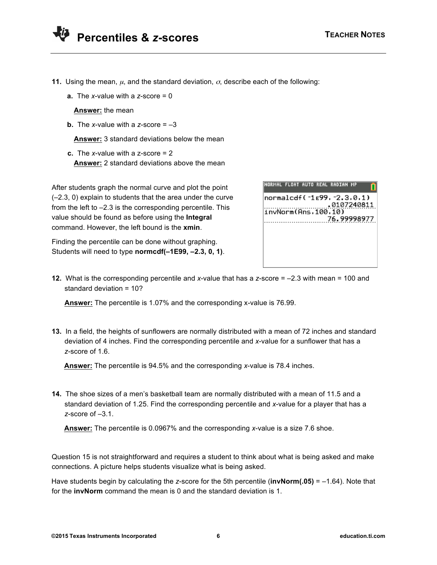

- **11.** Using the mean,  $\mu$ , and the standard deviation,  $\sigma$ , describe each of the following:
	- **a.** The *x*-value with a *z*-score = 0

**Answer:** the mean

**b.** The *x*-value with a *z*-score  $= -3$ 

**Answer:** 3 standard deviations below the mean

**c.** The *x*-value with a z-score = 2 **Answer:** 2 standard deviations above the mean

After students graph the normal curve and plot the point (–2.3, 0) explain to students that the area under the curve from the left to –2.3 is the corresponding percentile. This value should be found as before using the **Integral** command. However, the left bound is the **xmin**.

Finding the percentile can be done without graphing. Students will need to type **normcdf(–1E99, –2.3, 0, 1)**.

| IRMAL FLOAT AUTO REAL RADIAN MP    |  |
|------------------------------------|--|
| normalcdf(-1ε99.-2.3.0.1)          |  |
| .0107240811<br>invNorm(Ans.100.10) |  |
| 76.99998977                        |  |
|                                    |  |
|                                    |  |
|                                    |  |
|                                    |  |

**12.** What is the corresponding percentile and *x*-value that has a *z*-score = –2.3 with mean = 100 and standard deviation = 10?

**Answer:** The percentile is 1.07% and the corresponding x-value is 76.99.

**13.** In a field, the heights of sunflowers are normally distributed with a mean of 72 inches and standard deviation of 4 inches. Find the corresponding percentile and *x*-value for a sunflower that has a *z*-score of 1.6.

**Answer:** The percentile is 94.5% and the corresponding *x*-value is 78.4 inches.

**14.** The shoe sizes of a men's basketball team are normally distributed with a mean of 11.5 and a standard deviation of 1.25. Find the corresponding percentile and *x*-value for a player that has a *z*-score of –3.1.

**Answer:** The percentile is 0.0967% and the corresponding *x*-value is a size 7.6 shoe.

Question 15 is not straightforward and requires a student to think about what is being asked and make connections. A picture helps students visualize what is being asked.

Have students begin by calculating the *z*-score for the 5th percentile (**invNorm(.05)** = –1.64). Note that for the **invNorm** command the mean is 0 and the standard deviation is 1.